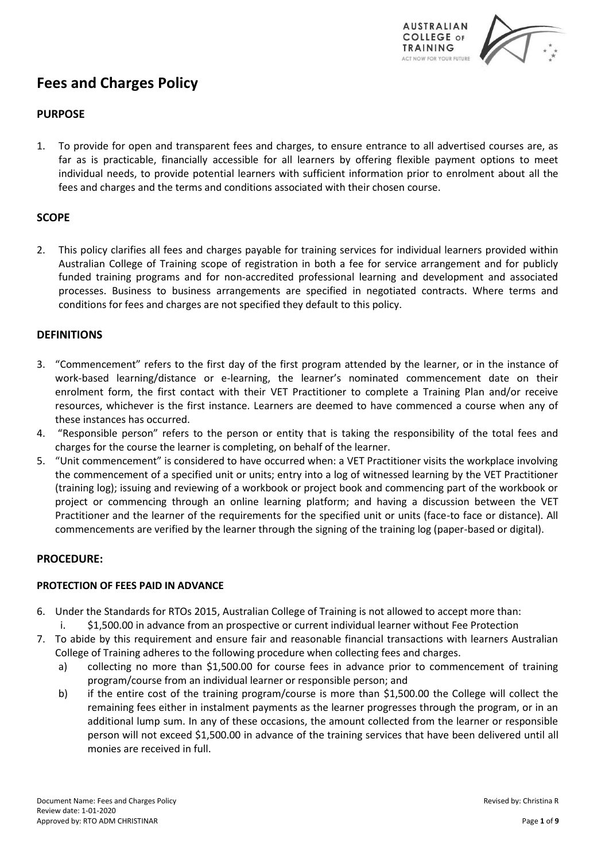

# **Fees and Charges Policy**

# **PURPOSE**

1. To provide for open and transparent fees and charges, to ensure entrance to all advertised courses are, as far as is practicable, financially accessible for all learners by offering flexible payment options to meet individual needs, to provide potential learners with sufficient information prior to enrolment about all the fees and charges and the terms and conditions associated with their chosen course.

# **SCOPE**

2. This policy clarifies all fees and charges payable for training services for individual learners provided within Australian College of Training scope of registration in both a fee for service arrangement and for publicly funded training programs and for non-accredited professional learning and development and associated processes. Business to business arrangements are specified in negotiated contracts. Where terms and conditions for fees and charges are not specified they default to this policy.

# **DEFINITIONS**

- 3. "Commencement" refers to the first day of the first program attended by the learner, or in the instance of work-based learning/distance or e-learning, the learner's nominated commencement date on their enrolment form, the first contact with their VET Practitioner to complete a Training Plan and/or receive resources, whichever is the first instance. Learners are deemed to have commenced a course when any of these instances has occurred.
- 4. "Responsible person" refers to the person or entity that is taking the responsibility of the total fees and charges for the course the learner is completing, on behalf of the learner.
- 5. "Unit commencement" is considered to have occurred when: a VET Practitioner visits the workplace involving the commencement of a specified unit or units; entry into a log of witnessed learning by the VET Practitioner (training log); issuing and reviewing of a workbook or project book and commencing part of the workbook or project or commencing through an online learning platform; and having a discussion between the VET Practitioner and the learner of the requirements for the specified unit or units (face-to face or distance). All commencements are verified by the learner through the signing of the training log (paper-based or digital).

# **PROCEDURE:**

# **PROTECTION OF FEES PAID IN ADVANCE**

- 6. Under the Standards for RTOs 2015, Australian College of Training is not allowed to accept more than: i. \$1,500.00 in advance from an prospective or current individual learner without Fee Protection
- 7. To abide by this requirement and ensure fair and reasonable financial transactions with learners Australian College of Training adheres to the following procedure when collecting fees and charges.
	- a) collecting no more than \$1,500.00 for course fees in advance prior to commencement of training program/course from an individual learner or responsible person; and
	- b) if the entire cost of the training program/course is more than \$1,500.00 the College will collect the remaining fees either in instalment payments as the learner progresses through the program, or in an additional lump sum. In any of these occasions, the amount collected from the learner or responsible person will not exceed \$1,500.00 in advance of the training services that have been delivered until all monies are received in full.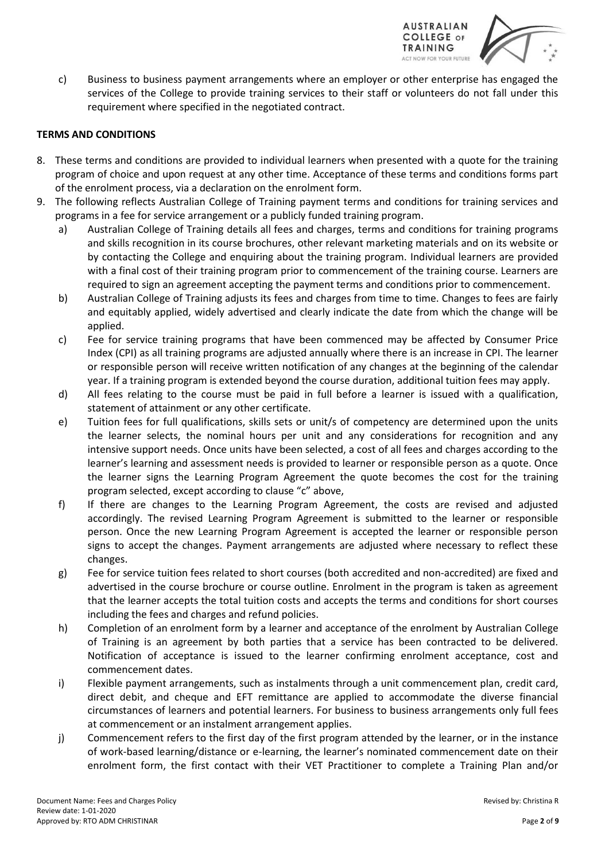

c) Business to business payment arrangements where an employer or other enterprise has engaged the services of the College to provide training services to their staff or volunteers do not fall under this requirement where specified in the negotiated contract.

## **TERMS AND CONDITIONS**

- 8. These terms and conditions are provided to individual learners when presented with a quote for the training program of choice and upon request at any other time. Acceptance of these terms and conditions forms part of the enrolment process, via a declaration on the enrolment form.
- 9. The following reflects Australian College of Training payment terms and conditions for training services and programs in a fee for service arrangement or a publicly funded training program.
	- a) Australian College of Training details all fees and charges, terms and conditions for training programs and skills recognition in its course brochures, other relevant marketing materials and on its website or by contacting the College and enquiring about the training program. Individual learners are provided with a final cost of their training program prior to commencement of the training course. Learners are required to sign an agreement accepting the payment terms and conditions prior to commencement.
	- b) Australian College of Training adjusts its fees and charges from time to time. Changes to fees are fairly and equitably applied, widely advertised and clearly indicate the date from which the change will be applied.
	- c) Fee for service training programs that have been commenced may be affected by Consumer Price Index (CPI) as all training programs are adjusted annually where there is an increase in CPI. The learner or responsible person will receive written notification of any changes at the beginning of the calendar year. If a training program is extended beyond the course duration, additional tuition fees may apply.
	- d) All fees relating to the course must be paid in full before a learner is issued with a qualification, statement of attainment or any other certificate.
	- e) Tuition fees for full qualifications, skills sets or unit/s of competency are determined upon the units the learner selects, the nominal hours per unit and any considerations for recognition and any intensive support needs. Once units have been selected, a cost of all fees and charges according to the learner's learning and assessment needs is provided to learner or responsible person as a quote. Once the learner signs the Learning Program Agreement the quote becomes the cost for the training program selected, except according to clause "c" above,
	- f) If there are changes to the Learning Program Agreement, the costs are revised and adjusted accordingly. The revised Learning Program Agreement is submitted to the learner or responsible person. Once the new Learning Program Agreement is accepted the learner or responsible person signs to accept the changes. Payment arrangements are adjusted where necessary to reflect these changes.
	- g) Fee for service tuition fees related to short courses (both accredited and non-accredited) are fixed and advertised in the course brochure or course outline. Enrolment in the program is taken as agreement that the learner accepts the total tuition costs and accepts the terms and conditions for short courses including the fees and charges and refund policies.
	- h) Completion of an enrolment form by a learner and acceptance of the enrolment by Australian College of Training is an agreement by both parties that a service has been contracted to be delivered. Notification of acceptance is issued to the learner confirming enrolment acceptance, cost and commencement dates.
	- i) Flexible payment arrangements, such as instalments through a unit commencement plan, credit card, direct debit, and cheque and EFT remittance are applied to accommodate the diverse financial circumstances of learners and potential learners. For business to business arrangements only full fees at commencement or an instalment arrangement applies.
	- j) Commencement refers to the first day of the first program attended by the learner, or in the instance of work-based learning/distance or e-learning, the learner's nominated commencement date on their enrolment form, the first contact with their VET Practitioner to complete a Training Plan and/or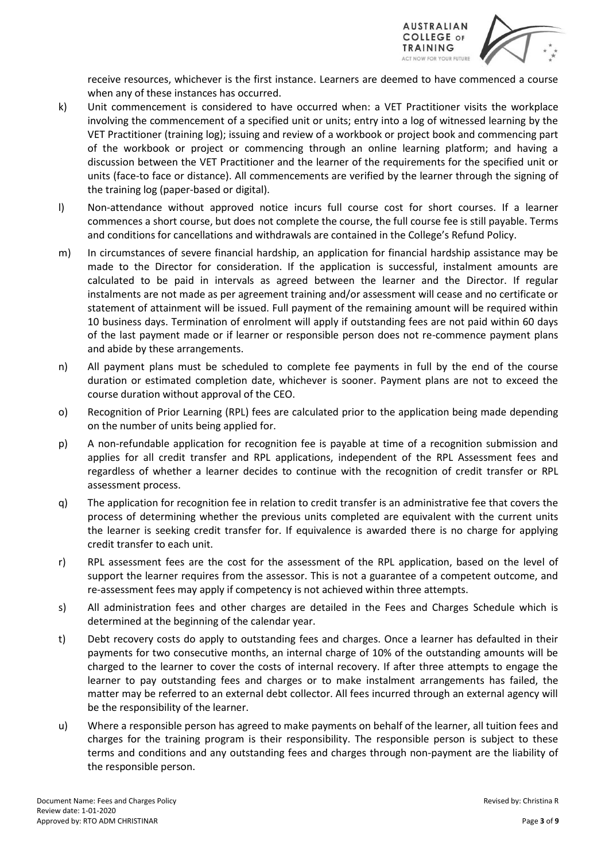

receive resources, whichever is the first instance. Learners are deemed to have commenced a course when any of these instances has occurred.

- k) Unit commencement is considered to have occurred when: a VET Practitioner visits the workplace involving the commencement of a specified unit or units; entry into a log of witnessed learning by the VET Practitioner (training log); issuing and review of a workbook or project book and commencing part of the workbook or project or commencing through an online learning platform; and having a discussion between the VET Practitioner and the learner of the requirements for the specified unit or units (face-to face or distance). All commencements are verified by the learner through the signing of the training log (paper-based or digital).
- l) Non-attendance without approved notice incurs full course cost for short courses. If a learner commences a short course, but does not complete the course, the full course fee is still payable. Terms and conditions for cancellations and withdrawals are contained in the College's Refund Policy.
- m) In circumstances of severe financial hardship, an application for financial hardship assistance may be made to the Director for consideration. If the application is successful, instalment amounts are calculated to be paid in intervals as agreed between the learner and the Director. If regular instalments are not made as per agreement training and/or assessment will cease and no certificate or statement of attainment will be issued. Full payment of the remaining amount will be required within 10 business days. Termination of enrolment will apply if outstanding fees are not paid within 60 days of the last payment made or if learner or responsible person does not re-commence payment plans and abide by these arrangements.
- n) All payment plans must be scheduled to complete fee payments in full by the end of the course duration or estimated completion date, whichever is sooner. Payment plans are not to exceed the course duration without approval of the CEO.
- o) Recognition of Prior Learning (RPL) fees are calculated prior to the application being made depending on the number of units being applied for.
- p) A non-refundable application for recognition fee is payable at time of a recognition submission and applies for all credit transfer and RPL applications, independent of the RPL Assessment fees and regardless of whether a learner decides to continue with the recognition of credit transfer or RPL assessment process.
- q) The application for recognition fee in relation to credit transfer is an administrative fee that covers the process of determining whether the previous units completed are equivalent with the current units the learner is seeking credit transfer for. If equivalence is awarded there is no charge for applying credit transfer to each unit.
- r) RPL assessment fees are the cost for the assessment of the RPL application, based on the level of support the learner requires from the assessor. This is not a guarantee of a competent outcome, and re-assessment fees may apply if competency is not achieved within three attempts.
- s) All administration fees and other charges are detailed in the Fees and Charges Schedule which is determined at the beginning of the calendar year.
- t) Debt recovery costs do apply to outstanding fees and charges. Once a learner has defaulted in their payments for two consecutive months, an internal charge of 10% of the outstanding amounts will be charged to the learner to cover the costs of internal recovery. If after three attempts to engage the learner to pay outstanding fees and charges or to make instalment arrangements has failed, the matter may be referred to an external debt collector. All fees incurred through an external agency will be the responsibility of the learner.
- u) Where a responsible person has agreed to make payments on behalf of the learner, all tuition fees and charges for the training program is their responsibility. The responsible person is subject to these terms and conditions and any outstanding fees and charges through non-payment are the liability of the responsible person.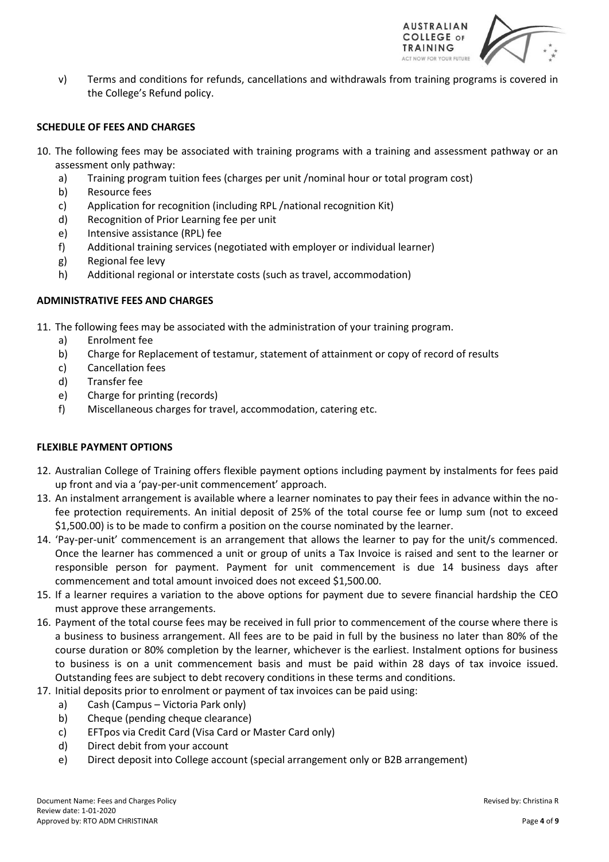

v) Terms and conditions for refunds, cancellations and withdrawals from training programs is covered in the College's Refund policy.

#### **SCHEDULE OF FEES AND CHARGES**

- 10. The following fees may be associated with training programs with a training and assessment pathway or an assessment only pathway:
	- a) Training program tuition fees (charges per unit /nominal hour or total program cost)
	- b) Resource fees
	- c) Application for recognition (including RPL /national recognition Kit)
	- d) Recognition of Prior Learning fee per unit
	- e) Intensive assistance (RPL) fee
	- f) Additional training services (negotiated with employer or individual learner)
	- g) Regional fee levy
	- h) Additional regional or interstate costs (such as travel, accommodation)

#### **ADMINISTRATIVE FEES AND CHARGES**

- 11. The following fees may be associated with the administration of your training program.
	- a) Enrolment fee
	- b) Charge for Replacement of testamur, statement of attainment or copy of record of results
	- c) Cancellation fees
	- d) Transfer fee
	- e) Charge for printing (records)
	- f) Miscellaneous charges for travel, accommodation, catering etc.

#### **FLEXIBLE PAYMENT OPTIONS**

- 12. Australian College of Training offers flexible payment options including payment by instalments for fees paid up front and via a 'pay-per-unit commencement' approach.
- 13. An instalment arrangement is available where a learner nominates to pay their fees in advance within the nofee protection requirements. An initial deposit of 25% of the total course fee or lump sum (not to exceed \$1,500.00) is to be made to confirm a position on the course nominated by the learner.
- 14. 'Pay-per-unit' commencement is an arrangement that allows the learner to pay for the unit/s commenced. Once the learner has commenced a unit or group of units a Tax Invoice is raised and sent to the learner or responsible person for payment. Payment for unit commencement is due 14 business days after commencement and total amount invoiced does not exceed \$1,500.00.
- 15. If a learner requires a variation to the above options for payment due to severe financial hardship the CEO must approve these arrangements.
- 16. Payment of the total course fees may be received in full prior to commencement of the course where there is a business to business arrangement. All fees are to be paid in full by the business no later than 80% of the course duration or 80% completion by the learner, whichever is the earliest. Instalment options for business to business is on a unit commencement basis and must be paid within 28 days of tax invoice issued. Outstanding fees are subject to debt recovery conditions in these terms and conditions.
- 17. Initial deposits prior to enrolment or payment of tax invoices can be paid using:
	- a) Cash (Campus Victoria Park only)
	- b) Cheque (pending cheque clearance)
	- c) EFTpos via Credit Card (Visa Card or Master Card only)
	- d) Direct debit from your account
	- e) Direct deposit into College account (special arrangement only or B2B arrangement)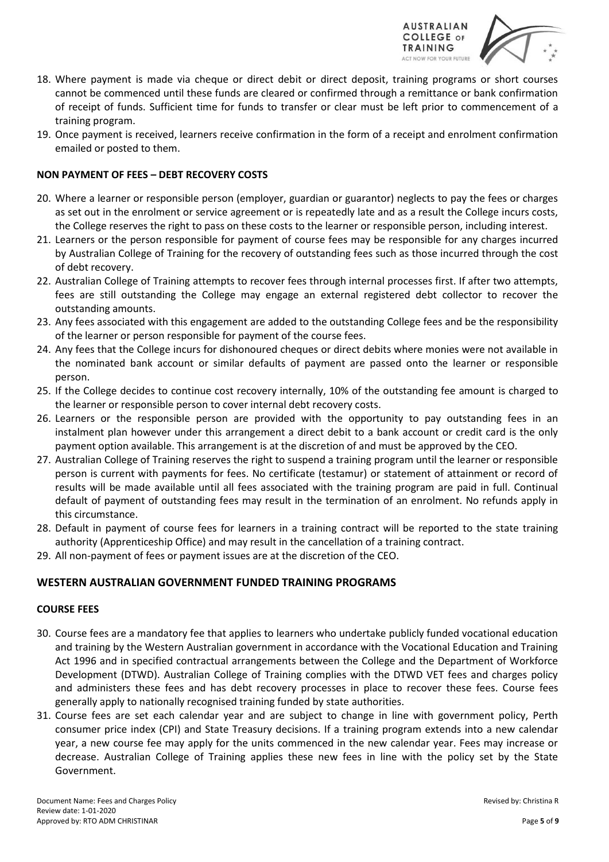

- 18. Where payment is made via cheque or direct debit or direct deposit, training programs or short courses cannot be commenced until these funds are cleared or confirmed through a remittance or bank confirmation of receipt of funds. Sufficient time for funds to transfer or clear must be left prior to commencement of a training program.
- 19. Once payment is received, learners receive confirmation in the form of a receipt and enrolment confirmation emailed or posted to them.

# **NON PAYMENT OF FEES – DEBT RECOVERY COSTS**

- 20. Where a learner or responsible person (employer, guardian or guarantor) neglects to pay the fees or charges as set out in the enrolment or service agreement or is repeatedly late and as a result the College incurs costs, the College reserves the right to pass on these costs to the learner or responsible person, including interest.
- 21. Learners or the person responsible for payment of course fees may be responsible for any charges incurred by Australian College of Training for the recovery of outstanding fees such as those incurred through the cost of debt recovery.
- 22. Australian College of Training attempts to recover fees through internal processes first. If after two attempts, fees are still outstanding the College may engage an external registered debt collector to recover the outstanding amounts.
- 23. Any fees associated with this engagement are added to the outstanding College fees and be the responsibility of the learner or person responsible for payment of the course fees.
- 24. Any fees that the College incurs for dishonoured cheques or direct debits where monies were not available in the nominated bank account or similar defaults of payment are passed onto the learner or responsible person.
- 25. If the College decides to continue cost recovery internally, 10% of the outstanding fee amount is charged to the learner or responsible person to cover internal debt recovery costs.
- 26. Learners or the responsible person are provided with the opportunity to pay outstanding fees in an instalment plan however under this arrangement a direct debit to a bank account or credit card is the only payment option available. This arrangement is at the discretion of and must be approved by the CEO.
- 27. Australian College of Training reserves the right to suspend a training program until the learner or responsible person is current with payments for fees. No certificate (testamur) or statement of attainment or record of results will be made available until all fees associated with the training program are paid in full. Continual default of payment of outstanding fees may result in the termination of an enrolment. No refunds apply in this circumstance.
- 28. Default in payment of course fees for learners in a training contract will be reported to the state training authority (Apprenticeship Office) and may result in the cancellation of a training contract.
- 29. All non-payment of fees or payment issues are at the discretion of the CEO.

# **WESTERN AUSTRALIAN GOVERNMENT FUNDED TRAINING PROGRAMS**

#### **COURSE FEES**

- 30. Course fees are a mandatory fee that applies to learners who undertake publicly funded vocational education and training by the Western Australian government in accordance with the Vocational Education and Training Act 1996 and in specified contractual arrangements between the College and the Department of Workforce Development (DTWD). Australian College of Training complies with the DTWD VET fees and charges policy and administers these fees and has debt recovery processes in place to recover these fees. Course fees generally apply to nationally recognised training funded by state authorities.
- 31. Course fees are set each calendar year and are subject to change in line with government policy, Perth consumer price index (CPI) and State Treasury decisions. If a training program extends into a new calendar year, a new course fee may apply for the units commenced in the new calendar year. Fees may increase or decrease. Australian College of Training applies these new fees in line with the policy set by the State Government.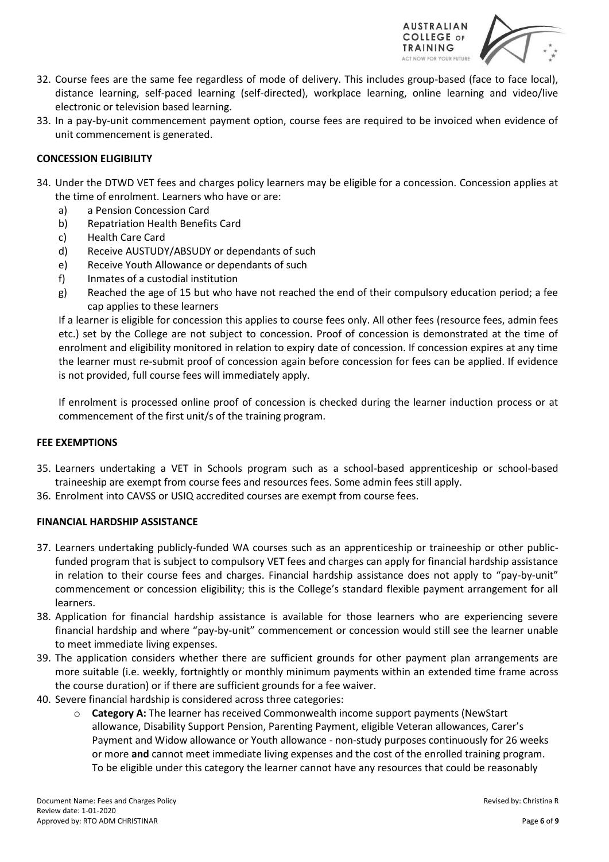

- 32. Course fees are the same fee regardless of mode of delivery. This includes group-based (face to face local), distance learning, self-paced learning (self-directed), workplace learning, online learning and video/live electronic or television based learning.
- 33. In a pay-by-unit commencement payment option, course fees are required to be invoiced when evidence of unit commencement is generated.

## **CONCESSION ELIGIBILITY**

- 34. Under the DTWD VET fees and charges policy learners may be eligible for a concession. Concession applies at the time of enrolment. Learners who have or are:
	- a) a Pension Concession Card
	- b) Repatriation Health Benefits Card
	- c) Health Care Card
	- d) Receive AUSTUDY/ABSUDY or dependants of such
	- e) Receive Youth Allowance or dependants of such
	- f) Inmates of a custodial institution
	- g) Reached the age of 15 but who have not reached the end of their compulsory education period; a fee cap applies to these learners

If a learner is eligible for concession this applies to course fees only. All other fees (resource fees, admin fees etc.) set by the College are not subject to concession. Proof of concession is demonstrated at the time of enrolment and eligibility monitored in relation to expiry date of concession. If concession expires at any time the learner must re-submit proof of concession again before concession for fees can be applied. If evidence is not provided, full course fees will immediately apply.

If enrolment is processed online proof of concession is checked during the learner induction process or at commencement of the first unit/s of the training program.

#### **FEE EXEMPTIONS**

- 35. Learners undertaking a VET in Schools program such as a school-based apprenticeship or school-based traineeship are exempt from course fees and resources fees. Some admin fees still apply.
- 36. Enrolment into CAVSS or USIQ accredited courses are exempt from course fees.

#### **FINANCIAL HARDSHIP ASSISTANCE**

- 37. Learners undertaking publicly-funded WA courses such as an apprenticeship or traineeship or other publicfunded program that is subject to compulsory VET fees and charges can apply for financial hardship assistance in relation to their course fees and charges. Financial hardship assistance does not apply to "pay-by-unit" commencement or concession eligibility; this is the College's standard flexible payment arrangement for all learners.
- 38. Application for financial hardship assistance is available for those learners who are experiencing severe financial hardship and where "pay-by-unit" commencement or concession would still see the learner unable to meet immediate living expenses.
- 39. The application considers whether there are sufficient grounds for other payment plan arrangements are more suitable (i.e. weekly, fortnightly or monthly minimum payments within an extended time frame across the course duration) or if there are sufficient grounds for a fee waiver.
- 40. Severe financial hardship is considered across three categories:
	- o **Category A:** The learner has received Commonwealth income support payments (NewStart allowance, Disability Support Pension, Parenting Payment, eligible Veteran allowances, Carer's Payment and Widow allowance or Youth allowance - non-study purposes continuously for 26 weeks or more **and** cannot meet immediate living expenses and the cost of the enrolled training program. To be eligible under this category the learner cannot have any resources that could be reasonably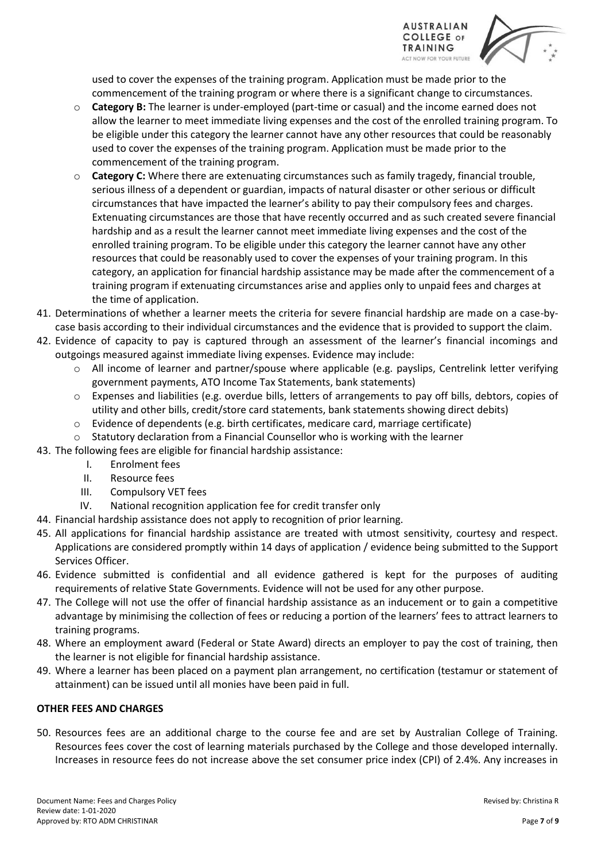

used to cover the expenses of the training program. Application must be made prior to the commencement of the training program or where there is a significant change to circumstances.

- o **Category B:** The learner is under-employed (part-time or casual) and the income earned does not allow the learner to meet immediate living expenses and the cost of the enrolled training program. To be eligible under this category the learner cannot have any other resources that could be reasonably used to cover the expenses of the training program. Application must be made prior to the commencement of the training program.
- o **Category C:** Where there are extenuating circumstances such as family tragedy, financial trouble, serious illness of a dependent or guardian, impacts of natural disaster or other serious or difficult circumstances that have impacted the learner's ability to pay their compulsory fees and charges. Extenuating circumstances are those that have recently occurred and as such created severe financial hardship and as a result the learner cannot meet immediate living expenses and the cost of the enrolled training program. To be eligible under this category the learner cannot have any other resources that could be reasonably used to cover the expenses of your training program. In this category, an application for financial hardship assistance may be made after the commencement of a training program if extenuating circumstances arise and applies only to unpaid fees and charges at the time of application.
- 41. Determinations of whether a learner meets the criteria for severe financial hardship are made on a case-bycase basis according to their individual circumstances and the evidence that is provided to support the claim.
- 42. Evidence of capacity to pay is captured through an assessment of the learner's financial incomings and outgoings measured against immediate living expenses. Evidence may include:
	- o All income of learner and partner/spouse where applicable (e.g. payslips, Centrelink letter verifying government payments, ATO Income Tax Statements, bank statements)
	- o Expenses and liabilities (e.g. overdue bills, letters of arrangements to pay off bills, debtors, copies of utility and other bills, credit/store card statements, bank statements showing direct debits)
	- $\circ$  Evidence of dependents (e.g. birth certificates, medicare card, marriage certificate)
	- $\circ$  Statutory declaration from a Financial Counsellor who is working with the learner
- 43. The following fees are eligible for financial hardship assistance:
	- I. Enrolment fees
	- II. Resource fees
	- III. Compulsory VET fees
	- IV. National recognition application fee for credit transfer only
- 44. Financial hardship assistance does not apply to recognition of prior learning.
- 45. All applications for financial hardship assistance are treated with utmost sensitivity, courtesy and respect. Applications are considered promptly within 14 days of application / evidence being submitted to the Support Services Officer.
- 46. Evidence submitted is confidential and all evidence gathered is kept for the purposes of auditing requirements of relative State Governments. Evidence will not be used for any other purpose.
- 47. The College will not use the offer of financial hardship assistance as an inducement or to gain a competitive advantage by minimising the collection of fees or reducing a portion of the learners' fees to attract learners to training programs.
- 48. Where an employment award (Federal or State Award) directs an employer to pay the cost of training, then the learner is not eligible for financial hardship assistance.
- 49. Where a learner has been placed on a payment plan arrangement, no certification (testamur or statement of attainment) can be issued until all monies have been paid in full.

# **OTHER FEES AND CHARGES**

50. Resources fees are an additional charge to the course fee and are set by Australian College of Training. Resources fees cover the cost of learning materials purchased by the College and those developed internally. Increases in resource fees do not increase above the set consumer price index (CPI) of 2.4%. Any increases in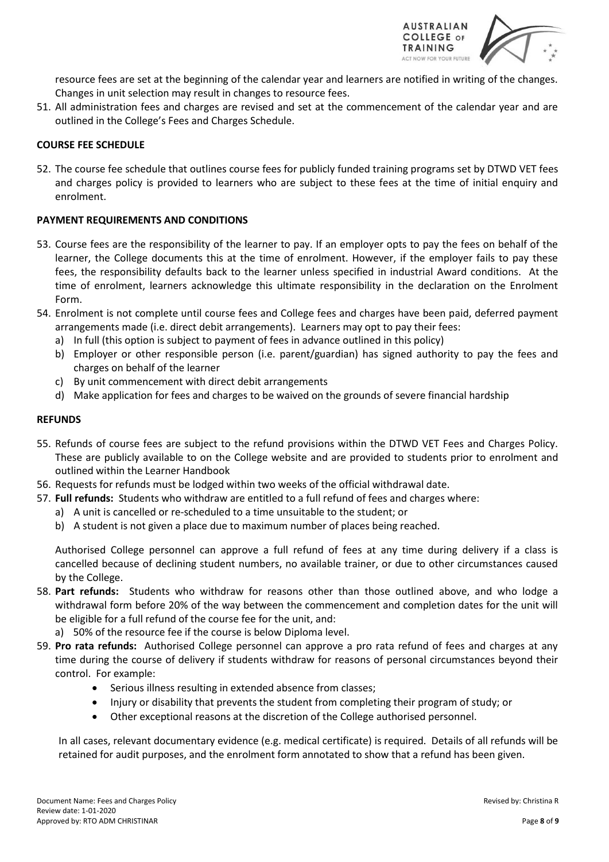

resource fees are set at the beginning of the calendar year and learners are notified in writing of the changes. Changes in unit selection may result in changes to resource fees.

51. All administration fees and charges are revised and set at the commencement of the calendar year and are outlined in the College's Fees and Charges Schedule.

## **COURSE FEE SCHEDULE**

52. The course fee schedule that outlines course fees for publicly funded training programs set by DTWD VET fees and charges policy is provided to learners who are subject to these fees at the time of initial enquiry and enrolment.

## **PAYMENT REQUIREMENTS AND CONDITIONS**

- 53. Course fees are the responsibility of the learner to pay. If an employer opts to pay the fees on behalf of the learner, the College documents this at the time of enrolment. However, if the employer fails to pay these fees, the responsibility defaults back to the learner unless specified in industrial Award conditions. At the time of enrolment, learners acknowledge this ultimate responsibility in the declaration on the Enrolment Form.
- 54. Enrolment is not complete until course fees and College fees and charges have been paid, deferred payment arrangements made (i.e. direct debit arrangements). Learners may opt to pay their fees:
	- a) In full (this option is subject to payment of fees in advance outlined in this policy)
	- b) Employer or other responsible person (i.e. parent/guardian) has signed authority to pay the fees and charges on behalf of the learner
	- c) By unit commencement with direct debit arrangements
	- d) Make application for fees and charges to be waived on the grounds of severe financial hardship

#### **REFUNDS**

- 55. Refunds of course fees are subject to the refund provisions within the DTWD VET Fees and Charges Policy. These are publicly available to on the College website and are provided to students prior to enrolment and outlined within the Learner Handbook
- 56. Requests for refunds must be lodged within two weeks of the official withdrawal date.
- 57. **Full refunds:** Students who withdraw are entitled to a full refund of fees and charges where:
	- a) A unit is cancelled or re-scheduled to a time unsuitable to the student; or
	- b) A student is not given a place due to maximum number of places being reached.

Authorised College personnel can approve a full refund of fees at any time during delivery if a class is cancelled because of declining student numbers, no available trainer, or due to other circumstances caused by the College.

- 58. **Part refunds:** Students who withdraw for reasons other than those outlined above, and who lodge a withdrawal form before 20% of the way between the commencement and completion dates for the unit will be eligible for a full refund of the course fee for the unit, and:
	- a) 50% of the resource fee if the course is below Diploma level.
- 59. **Pro rata refunds:** Authorised College personnel can approve a pro rata refund of fees and charges at any time during the course of delivery if students withdraw for reasons of personal circumstances beyond their control. For example:
	- Serious illness resulting in extended absence from classes;
	- Injury or disability that prevents the student from completing their program of study; or
	- Other exceptional reasons at the discretion of the College authorised personnel.

In all cases, relevant documentary evidence (e.g. medical certificate) is required. Details of all refunds will be retained for audit purposes, and the enrolment form annotated to show that a refund has been given.